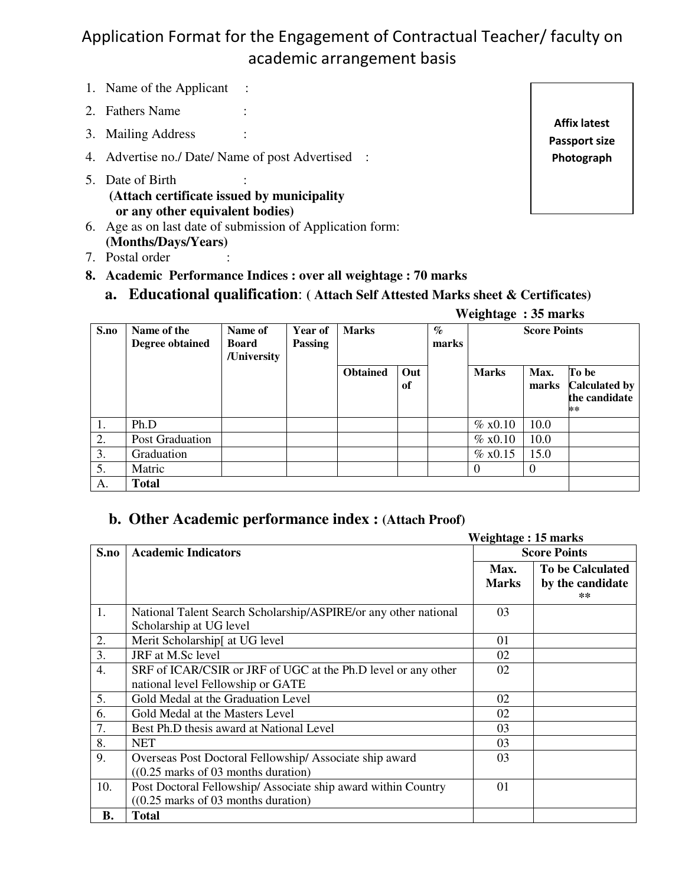## Application Format for the Engagement of Contractual Teacher/ faculty on academic arrangement basis

- 1. Name of the Applicant :
- 2. Fathers Name :
- 3. Mailing Address :
- 4. Advertise no./ Date/ Name of post Advertised :
- 5. Date of Birth **(Attach certificate issued by municipality or any other equivalent bodies)**
- 6. Age as on last date of submission of Application form: **(Months/Days/Years)**
- 7. Postal order
- **8. Academic Performance Indices : over all weightage : 70 marks**

**a. Educational qualification**: **( Attach Self Attested Marks sheet & Certificates)** 

|  | Weightage: 35 marks |
|--|---------------------|
|--|---------------------|

| S.no | Name of the<br>Degree obtained | Name of<br><b>Board</b><br>/University | Year of<br><b>Passing</b> | <b>Marks</b>    |           | $\%$<br>marks | <b>Score Points</b> |                |                                                      |
|------|--------------------------------|----------------------------------------|---------------------------|-----------------|-----------|---------------|---------------------|----------------|------------------------------------------------------|
|      |                                |                                        |                           | <b>Obtained</b> | Out<br>of |               | <b>Marks</b>        | Max.<br>marks  | To be<br><b>Calculated by</b><br>the candidate<br>** |
| 1.   | Ph.D                           |                                        |                           |                 |           |               | $\%$ x0.10          | 10.0           |                                                      |
| 2.   | Post Graduation                |                                        |                           |                 |           |               | $\%$ x0.10          | 10.0           |                                                      |
| 3.   | Graduation                     |                                        |                           |                 |           |               | % x0.15             | 15.0           |                                                      |
| 5.   | Matric                         |                                        |                           |                 |           |               | $\Omega$            | $\overline{0}$ |                                                      |
| А.   | <b>Total</b>                   |                                        |                           |                 |           |               |                     |                |                                                      |

## **b. Other Academic performance index : (Attach Proof)**

|      |                                                                 | <b>Weightage: 15 marks</b> |                          |  |  |
|------|-----------------------------------------------------------------|----------------------------|--------------------------|--|--|
| S.no | <b>Academic Indicators</b>                                      | <b>Score Points</b>        |                          |  |  |
|      |                                                                 | Max.                       | <b>To be Calculated</b>  |  |  |
|      |                                                                 | <b>Marks</b>               | by the candidate<br>$**$ |  |  |
| 1.   | National Talent Search Scholarship/ASPIRE/or any other national | 03                         |                          |  |  |
|      | Scholarship at UG level                                         |                            |                          |  |  |
| 2.   | Merit Scholarship[ at UG level]                                 | 01                         |                          |  |  |
| 3.   | JRF at M.Sc level                                               | 02                         |                          |  |  |
| 4.   | SRF of ICAR/CSIR or JRF of UGC at the Ph.D level or any other   | 02                         |                          |  |  |
|      | national level Fellowship or GATE                               |                            |                          |  |  |
| 5.   | Gold Medal at the Graduation Level                              | 02                         |                          |  |  |
| 6.   | Gold Medal at the Masters Level                                 | 02                         |                          |  |  |
| 7.   | Best Ph.D thesis award at National Level                        | 03                         |                          |  |  |
| 8.   | <b>NET</b>                                                      | 03                         |                          |  |  |
| 9.   | Overseas Post Doctoral Fellowship/ Associate ship award         | 03                         |                          |  |  |
|      | $((0.25 \text{ marks of } 03 \text{ months duration})$          |                            |                          |  |  |
| 10.  | Post Doctoral Fellowship/ Associate ship award within Country   | 01                         |                          |  |  |
|      | $((0.25 \text{ marks of } 03 \text{ months duration})$          |                            |                          |  |  |
| В.   | <b>Total</b>                                                    |                            |                          |  |  |

**Affix latest Passport size Photograph**